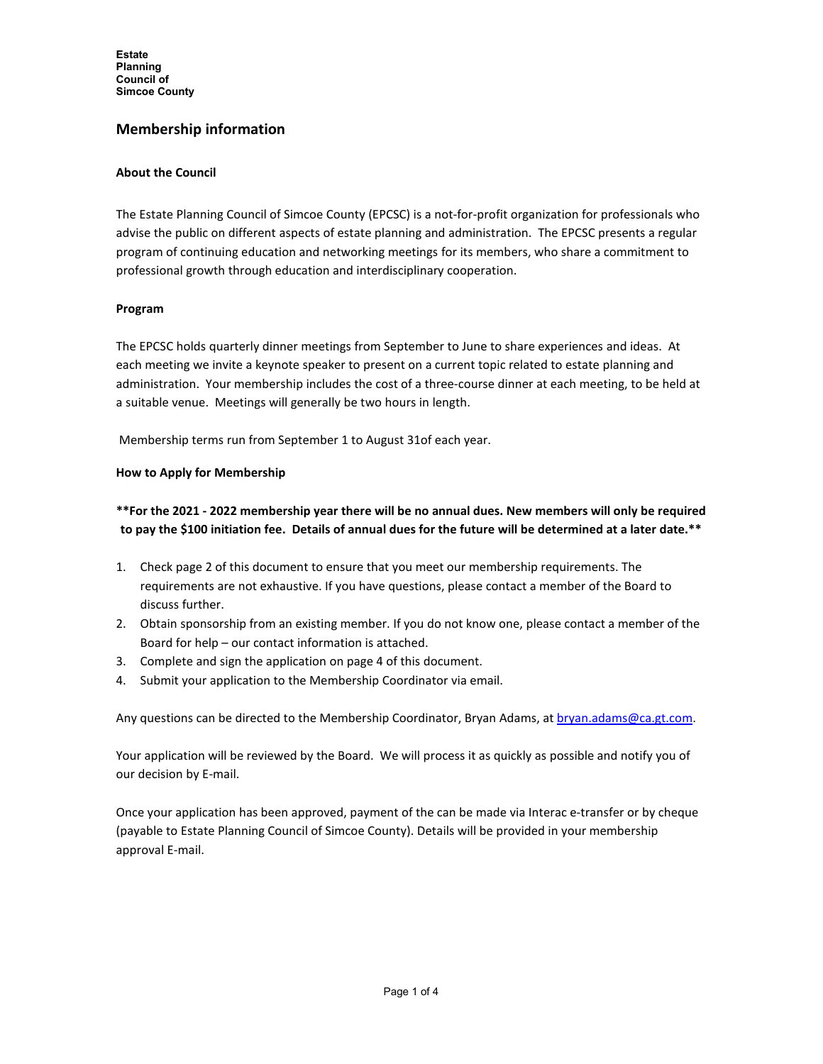**Estate Planning Council of Simcoe County**

# **Membership information**

#### **About the Council**

The Estate Planning Council of Simcoe County (EPCSC) is a not-for-profit organization for professionals who advise the public on different aspects of estate planning and administration. The EPCSC presents a regular program of continuing education and networking meetings for its members, who share a commitment to professional growth through education and interdisciplinary cooperation.

#### **Program**

The EPCSC holds quarterly dinner meetings from September to June to share experiences and ideas. At each meeting we invite a keynote speaker to present on a current topic related to estate planning and administration. Your membership includes the cost of a three-course dinner at each meeting, to be held at a suitable venue. Meetings will generally be two hours in length.

Membership terms run from September 1 to August 31of each year.

### **How to Apply for Membership**

### **\*\*For the 2021 - 2022 membership year there will be no annual dues. New members will only be required to pay the \$100 initiation fee. Details of annual dues for the future will be determined at a later date.\*\***

- 1. Check page 2 of this document to ensure that you meet our membership requirements. The requirements are not exhaustive. If you have questions, please contact a member of the Board to discuss further.
- 2. Obtain sponsorship from an existing member. If you do not know one, please contact a member of the Board for help – our contact information is attached.
- 3. Complete and sign the application on page 4 of this document.
- 4. Submit your application to the Membership Coordinator via email.

Any questions can be directed to the Membership Coordinator, Bryan Adams, a[t bryan.adams@ca.gt.com.](mailto:bryan.adams@ca.gt.com)

Your application will be reviewed by the Board. We will process it as quickly as possible and notify you of our decision by E-mail.

Once your application has been approved, payment of the can be made via Interac e-transfer or by cheque (payable to Estate Planning Council of Simcoe County). Details will be provided in your membership approval E-mail.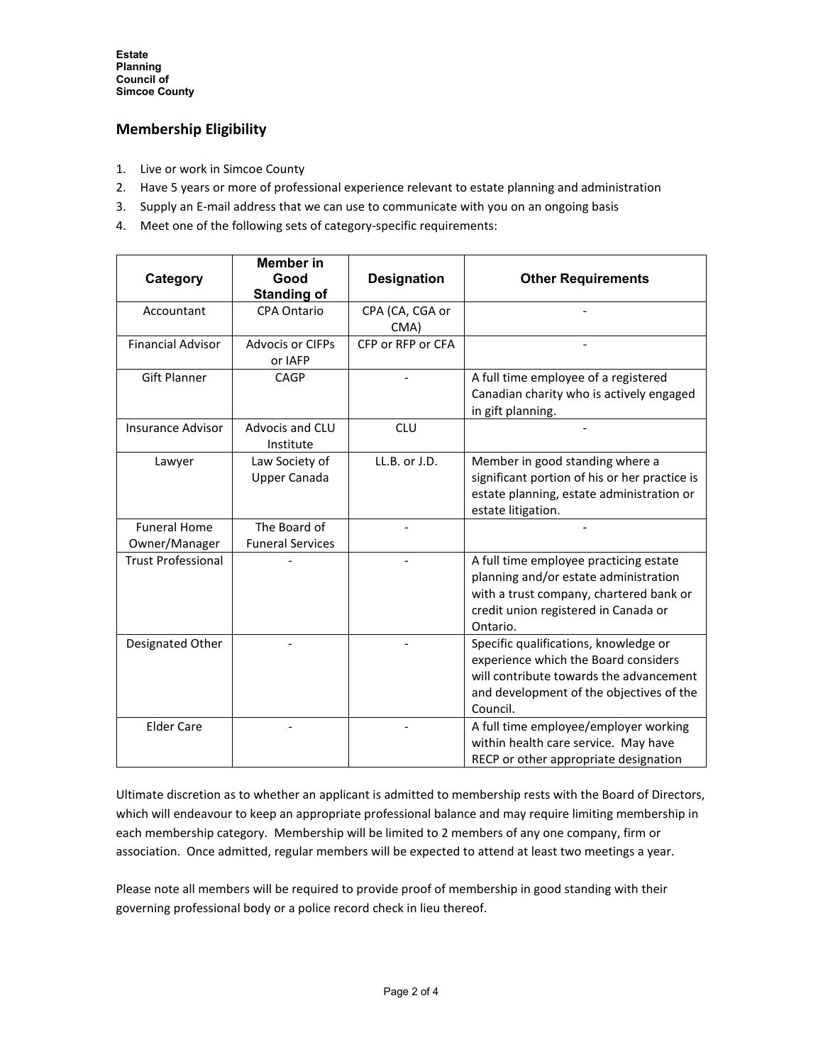# **Membership Eligibility**

- 1. Live or work in Simcoe County
- 2. Have 5 years or more of professional experience relevant to estate planning and administration
- 3. Supply an E-mail address that we can use to communicate with you on an ongoing basis
- 4. Meet one of the following sets of category-specific requirements:

| Category                             | <b>Member</b> in<br>Good                | <b>Designation</b>      | <b>Other Requirements</b>                                                                                                                                                        |
|--------------------------------------|-----------------------------------------|-------------------------|----------------------------------------------------------------------------------------------------------------------------------------------------------------------------------|
|                                      | <b>Standing of</b>                      |                         |                                                                                                                                                                                  |
| Accountant                           | <b>CPA Ontario</b>                      | CPA (CA, CGA or<br>CMA) |                                                                                                                                                                                  |
| <b>Financial Advisor</b>             | <b>Advocis or CIFPs</b><br>or IAFP      | CFP or RFP or CFA       |                                                                                                                                                                                  |
| <b>Gift Planner</b>                  | <b>CAGP</b>                             |                         | A full time employee of a registered<br>Canadian charity who is actively engaged<br>in gift planning.                                                                            |
| <b>Insurance Advisor</b>             | Advocis and CLU<br>Institute            | <b>CLU</b>              |                                                                                                                                                                                  |
| Lawyer                               | Law Society of<br><b>Upper Canada</b>   | LL.B. or J.D.           | Member in good standing where a<br>significant portion of his or her practice is<br>estate planning, estate administration or<br>estate litigation.                              |
| <b>Funeral Home</b><br>Owner/Manager | The Board of<br><b>Funeral Services</b> |                         |                                                                                                                                                                                  |
| <b>Trust Professional</b>            |                                         |                         | A full time employee practicing estate<br>planning and/or estate administration<br>with a trust company, chartered bank or<br>credit union registered in Canada or<br>Ontario.   |
| Designated Other                     |                                         |                         | Specific qualifications, knowledge or<br>experience which the Board considers<br>will contribute towards the advancement<br>and development of the objectives of the<br>Council. |
| <b>Elder Care</b>                    |                                         |                         | A full time employee/employer working<br>within health care service. May have<br>RECP or other appropriate designation                                                           |

Ultimate discretion as to whether an applicant is admitted to membership rests with the Board of Directors, which will endeavour to keep an appropriate professional balance and may require limiting membership in each membership category. Membership will be limited to 2 members of any one company, firm or association. Once admitted, regular members will be expected to attend at least two meetings a year.

Please note all members will be required to provide proof of membership in good standing with their governing professional body or a police record check in lieu thereof.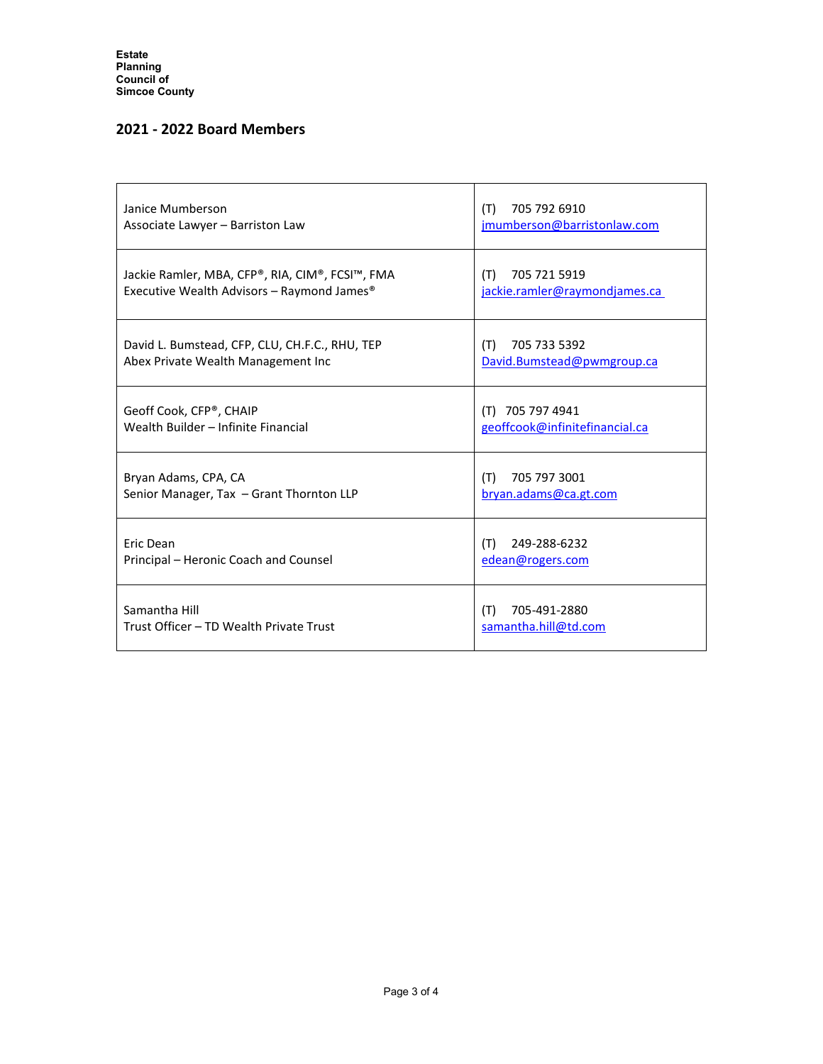# **2021 - 2022 Board Members**

| Janice Mumberson<br>Associate Lawyer - Barriston Law                                                      | 705 792 6910<br>(T)<br>jmumberson@barristonlaw.com   |  |
|-----------------------------------------------------------------------------------------------------------|------------------------------------------------------|--|
| Jackie Ramler, MBA, CFP®, RIA, CIM®, FCSI™, FMA<br>Executive Wealth Advisors - Raymond James <sup>®</sup> | 705 721 5919<br>(T)<br>jackie.ramler@raymondjames.ca |  |
| David L. Bumstead, CFP, CLU, CH.F.C., RHU, TEP<br>Abex Private Wealth Management Inc                      | 705 733 5392<br>(T)<br>David.Bumstead@pwmgroup.ca    |  |
| Geoff Cook, CFP®, CHAIP<br>Wealth Builder - Infinite Financial                                            | (T) 705 797 4941<br>geoffcook@infinitefinancial.ca   |  |
| Bryan Adams, CPA, CA<br>Senior Manager, Tax - Grant Thornton LLP                                          | 705 797 3001<br>(T)<br>bryan.adams@ca.gt.com         |  |
| Eric Dean<br>Principal - Heronic Coach and Counsel                                                        | 249-288-6232<br>(T)<br>edean@rogers.com              |  |
| Samantha Hill<br>Trust Officer - TD Wealth Private Trust                                                  | 705-491-2880<br>(T)<br>samantha.hill@td.com          |  |